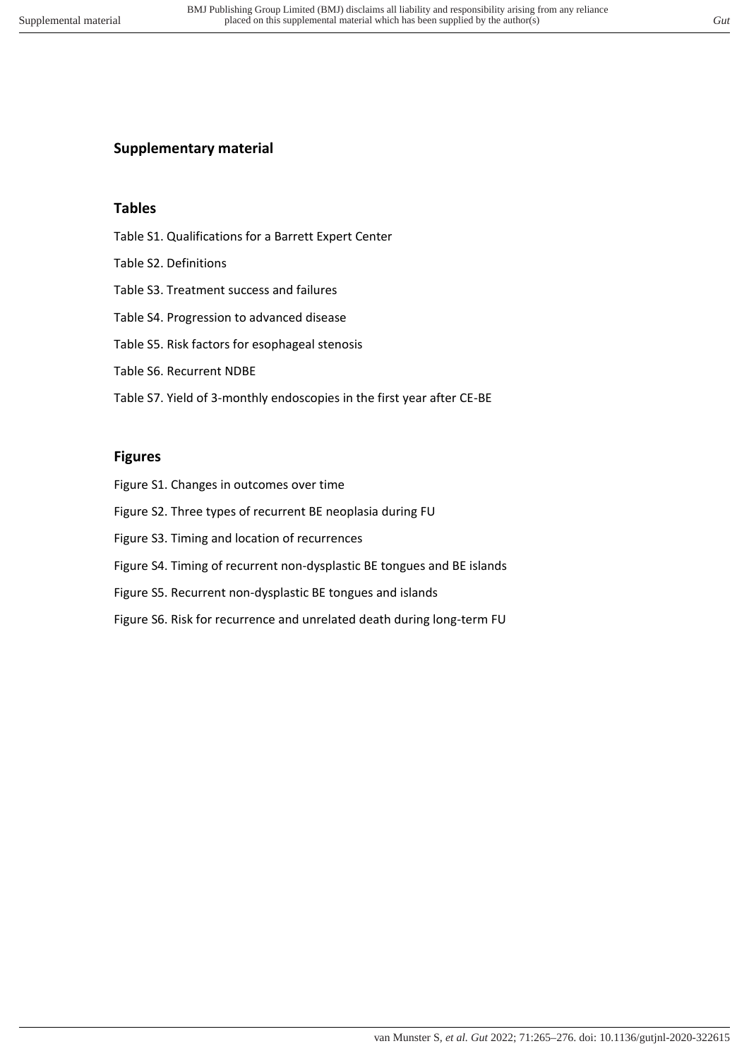# **Supplementary material**

## **Tables**

- Table S1. Qualifications for a Barrett Expert Center
- Table S2. Definitions
- Table S3. Treatment success and failures
- Table S4. Progression to advanced disease
- Table S5. Risk factors for esophageal stenosis
- Table S6. Recurrent NDBE
- Table S7. Yield of 3-monthly endoscopies in the first year after CE-BE

#### **Figures**

- Figure S1. Changes in outcomes over time
- Figure S2. Three types of recurrent BE neoplasia during FU
- Figure S3. Timing and location of recurrences
- Figure S4. Timing of recurrent non-dysplastic BE tongues and BE islands
- Figure S5. Recurrent non-dysplastic BE tongues and islands
- Figure S6. Risk for recurrence and unrelated death during long-term FU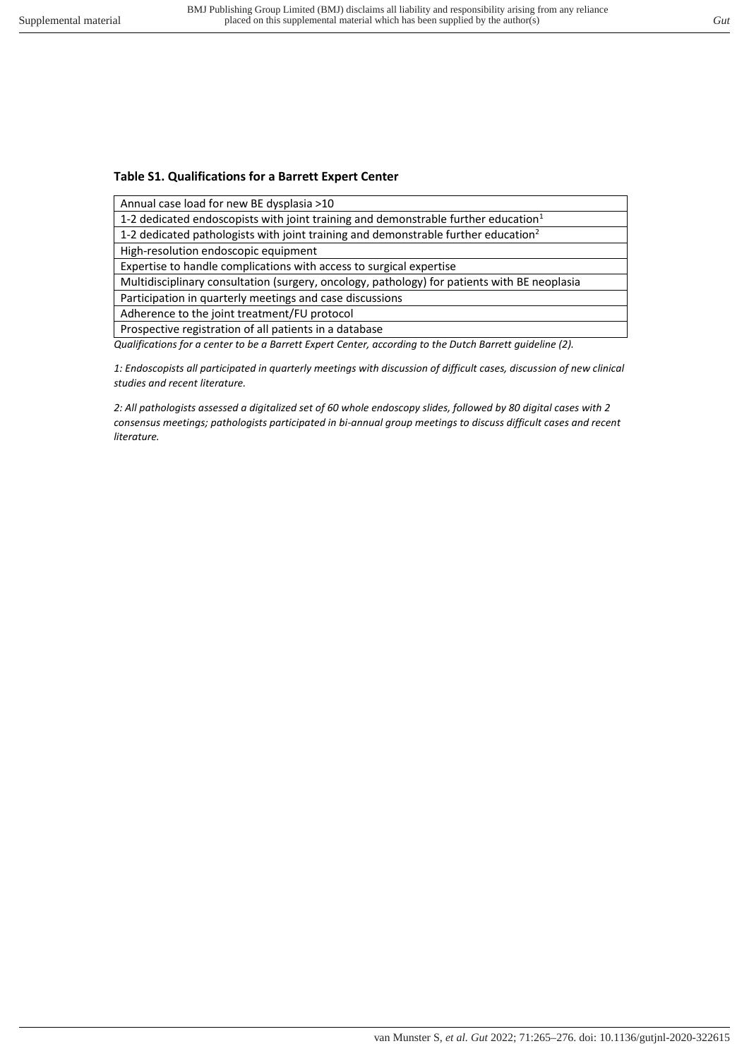## **Table S1. Qualifications for a Barrett Expert Center**

Annual case load for new BE dysplasia >10

1-2 dedicated endoscopists with joint training and demonstrable further education<sup>1</sup>

1-2 dedicated pathologists with joint training and demonstrable further education<sup>2</sup>

High-resolution endoscopic equipment

Expertise to handle complications with access to surgical expertise

Multidisciplinary consultation (surgery, oncology, pathology) for patients with BE neoplasia

Participation in quarterly meetings and case discussions

Adherence to the joint treatment/FU protocol

Prospective registration of all patients in a database

*Qualifications for a center to be a Barrett Expert Center, according to the Dutch Barrett guideline (2).* 

*1: Endoscopists all participated in quarterly meetings with discussion of difficult cases, discussion of new clinical studies and recent literature.* 

*2: All pathologists assessed a digitalized set of 60 whole endoscopy slides, followed by 80 digital cases with 2 consensus meetings; pathologists participated in bi-annual group meetings to discuss difficult cases and recent literature.*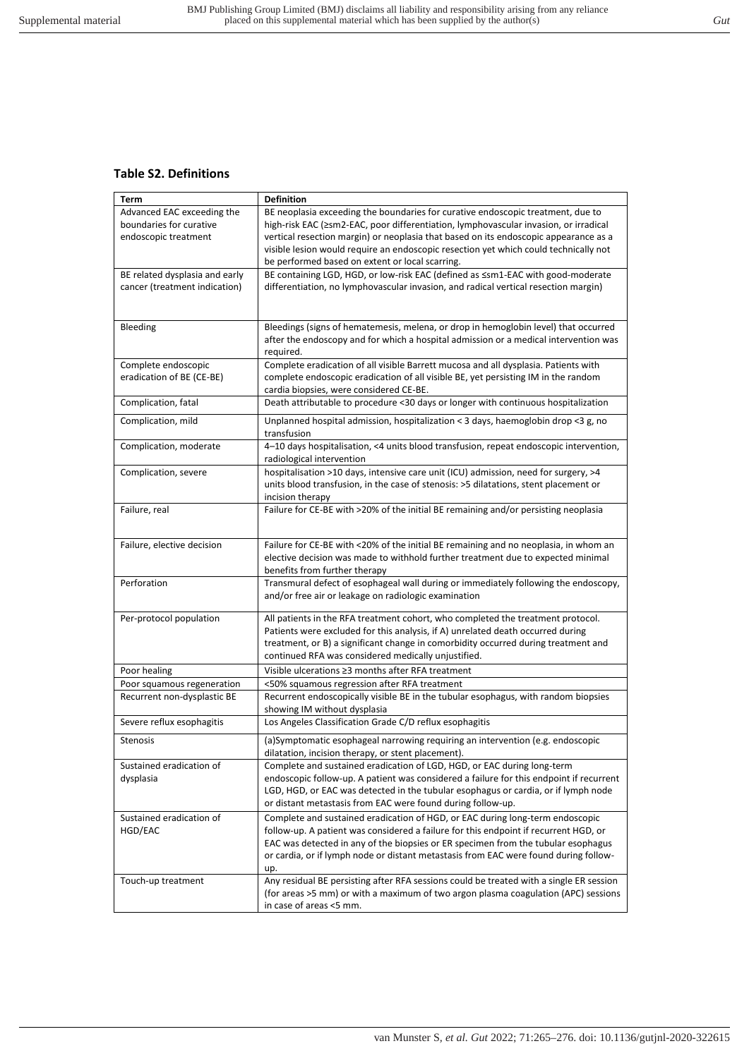## **Table S2. Definitions**

| Term                           | <b>Definition</b>                                                                       |
|--------------------------------|-----------------------------------------------------------------------------------------|
| Advanced EAC exceeding the     | BE neoplasia exceeding the boundaries for curative endoscopic treatment, due to         |
| boundaries for curative        | high-risk EAC (≥sm2-EAC, poor differentiation, lymphovascular invasion, or irradical    |
| endoscopic treatment           | vertical resection margin) or neoplasia that based on its endoscopic appearance as a    |
|                                | visible lesion would require an endoscopic resection yet which could technically not    |
|                                | be performed based on extent or local scarring.                                         |
| BE related dysplasia and early | BE containing LGD, HGD, or low-risk EAC (defined as ≤sm1-EAC with good-moderate         |
| cancer (treatment indication)  | differentiation, no lymphovascular invasion, and radical vertical resection margin)     |
|                                |                                                                                         |
|                                |                                                                                         |
| Bleeding                       | Bleedings (signs of hematemesis, melena, or drop in hemoglobin level) that occurred     |
|                                | after the endoscopy and for which a hospital admission or a medical intervention was    |
|                                | required.                                                                               |
| Complete endoscopic            | Complete eradication of all visible Barrett mucosa and all dysplasia. Patients with     |
| eradication of BE (CE-BE)      | complete endoscopic eradication of all visible BE, yet persisting IM in the random      |
|                                | cardia biopsies, were considered CE-BE.                                                 |
| Complication, fatal            | Death attributable to procedure <30 days or longer with continuous hospitalization      |
| Complication, mild             | Unplanned hospital admission, hospitalization < 3 days, haemoglobin drop <3 g, no       |
|                                | transfusion                                                                             |
| Complication, moderate         | 4-10 days hospitalisation, <4 units blood transfusion, repeat endoscopic intervention,  |
|                                | radiological intervention                                                               |
| Complication, severe           | hospitalisation >10 days, intensive care unit (ICU) admission, need for surgery, >4     |
|                                | units blood transfusion, in the case of stenosis: >5 dilatations, stent placement or    |
|                                | incision therapy                                                                        |
| Failure, real                  | Failure for CE-BE with >20% of the initial BE remaining and/or persisting neoplasia     |
|                                |                                                                                         |
| Failure, elective decision     | Failure for CE-BE with <20% of the initial BE remaining and no neoplasia, in whom an    |
|                                | elective decision was made to withhold further treatment due to expected minimal        |
|                                | benefits from further therapy                                                           |
| Perforation                    | Transmural defect of esophageal wall during or immediately following the endoscopy,     |
|                                | and/or free air or leakage on radiologic examination                                    |
|                                |                                                                                         |
| Per-protocol population        | All patients in the RFA treatment cohort, who completed the treatment protocol.         |
|                                | Patients were excluded for this analysis, if A) unrelated death occurred during         |
|                                | treatment, or B) a significant change in comorbidity occurred during treatment and      |
|                                | continued RFA was considered medically unjustified.                                     |
| Poor healing                   | Visible ulcerations ≥3 months after RFA treatment                                       |
| Poor squamous regeneration     | <50% squamous regression after RFA treatment                                            |
| Recurrent non-dysplastic BE    | Recurrent endoscopically visible BE in the tubular esophagus, with random biopsies      |
|                                | showing IM without dysplasia                                                            |
| Severe reflux esophagitis      | Los Angeles Classification Grade C/D reflux esophagitis                                 |
| Stenosis                       | (a)Symptomatic esophageal narrowing requiring an intervention (e.g. endoscopic          |
|                                | dilatation, incision therapy, or stent placement).                                      |
| Sustained eradication of       | Complete and sustained eradication of LGD, HGD, or EAC during long-term                 |
| dysplasia                      | endoscopic follow-up. A patient was considered a failure for this endpoint if recurrent |
|                                | LGD, HGD, or EAC was detected in the tubular esophagus or cardia, or if lymph node      |
|                                | or distant metastasis from EAC were found during follow-up.                             |
| Sustained eradication of       | Complete and sustained eradication of HGD, or EAC during long-term endoscopic           |
| HGD/EAC                        | follow-up. A patient was considered a failure for this endpoint if recurrent HGD, or    |
|                                | EAC was detected in any of the biopsies or ER specimen from the tubular esophagus       |
|                                | or cardia, or if lymph node or distant metastasis from EAC were found during follow-    |
|                                | up.                                                                                     |
| Touch-up treatment             | Any residual BE persisting after RFA sessions could be treated with a single ER session |
|                                | (for areas >5 mm) or with a maximum of two argon plasma coagulation (APC) sessions      |
|                                | in case of areas <5 mm.                                                                 |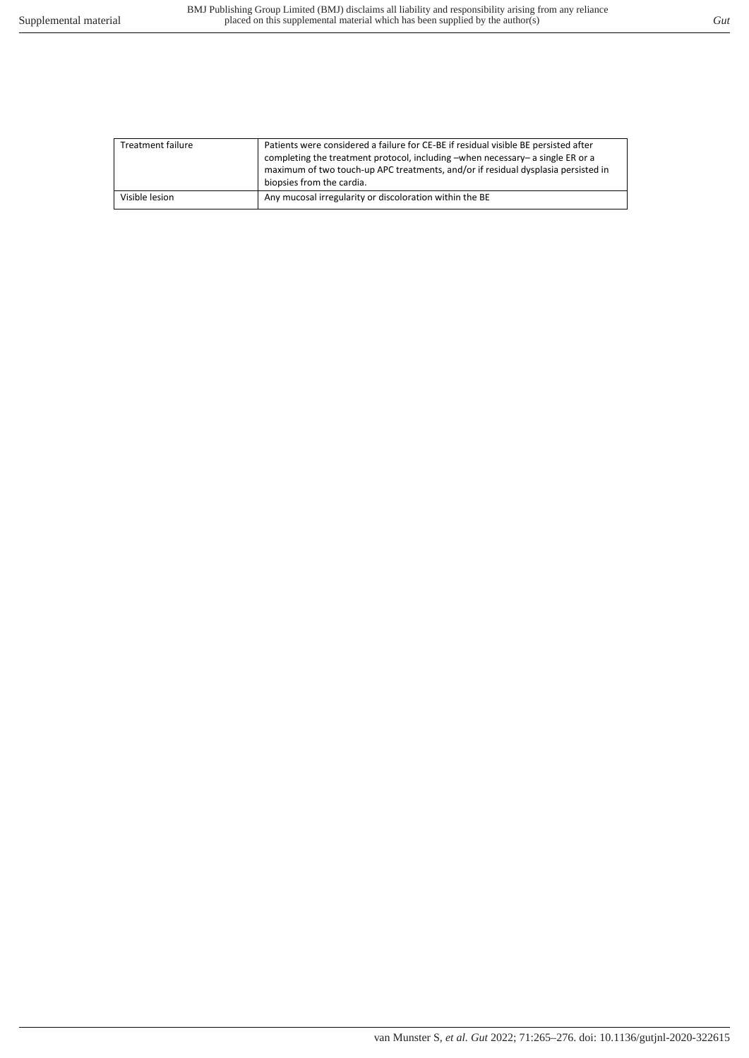| <b>Treatment failure</b> | Patients were considered a failure for CE-BE if residual visible BE persisted after<br>completing the treatment protocol, including -when necessary- a single ER or a<br>maximum of two touch-up APC treatments, and/or if residual dysplasia persisted in<br>biopsies from the cardia. |
|--------------------------|-----------------------------------------------------------------------------------------------------------------------------------------------------------------------------------------------------------------------------------------------------------------------------------------|
| Visible lesion           | Any mucosal irregularity or discoloration within the BE                                                                                                                                                                                                                                 |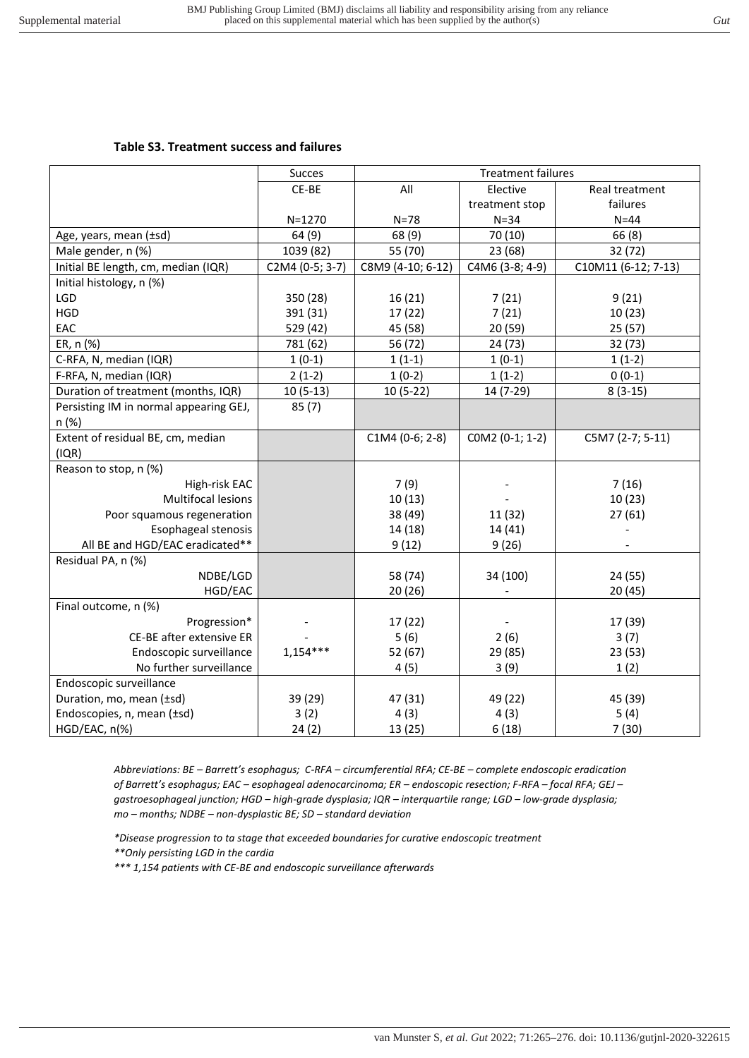## **Table S3. Treatment success and failures**

|                                        | <b>Succes</b>   |                   | <b>Treatment failures</b> |                     |
|----------------------------------------|-----------------|-------------------|---------------------------|---------------------|
|                                        | CE-BE           | All               | Elective                  | Real treatment      |
|                                        |                 |                   | treatment stop            | failures            |
|                                        | $N = 1270$      | $N = 78$          | $N = 34$                  | $N = 44$            |
| Age, years, mean (±sd)                 | 64(9)           | 68(9)             | 70 (10)                   | 66(8)               |
| Male gender, n (%)                     | 1039 (82)       | 55 (70)           | 23 (68)                   | 32 (72)             |
| Initial BE length, cm, median (IQR)    | C2M4 (0-5; 3-7) | C8M9 (4-10; 6-12) | C4M6 (3-8; 4-9)           | C10M11 (6-12; 7-13) |
| Initial histology, n (%)               |                 |                   |                           |                     |
| LGD                                    | 350 (28)        | 16(21)            | 7(21)                     | 9(21)               |
| <b>HGD</b>                             | 391 (31)        | 17 (22)           | 7(21)                     | 10(23)              |
| EAC                                    | 529 (42)        | 45 (58)           | 20(59)                    | 25(57)              |
| ER, n (%)                              | 781 (62)        | 56 (72)           | 24 (73)                   | 32 (73)             |
| C-RFA, N, median (IQR)                 | $1(0-1)$        | $1(1-1)$          | $1(0-1)$                  | $1(1-2)$            |
| F-RFA, N, median (IQR)                 | $2(1-2)$        | $1(0-2)$          | $1(1-2)$                  | $0(0-1)$            |
| Duration of treatment (months, IQR)    | $10(5-13)$      | $10(5-22)$        | 14 (7-29)                 | $8(3-15)$           |
| Persisting IM in normal appearing GEJ, | 85(7)           |                   |                           |                     |
| n (%)                                  |                 |                   |                           |                     |
| Extent of residual BE, cm, median      |                 | C1M4 (0-6; 2-8)   | COM2 (0-1; 1-2)           | C5M7 (2-7; 5-11)    |
| (IQR)                                  |                 |                   |                           |                     |
| Reason to stop, n (%)                  |                 |                   |                           |                     |
| High-risk EAC                          |                 | 7(9)              |                           | 7(16)               |
| <b>Multifocal lesions</b>              |                 | 10(13)            |                           | 10(23)              |
| Poor squamous regeneration             |                 | 38 (49)           | 11 (32)                   | 27(61)              |
| Esophageal stenosis                    |                 | 14 (18)           | 14 (41)                   |                     |
| All BE and HGD/EAC eradicated**        |                 | 9(12)             | 9(26)                     |                     |
| Residual PA, n (%)                     |                 |                   |                           |                     |
| NDBE/LGD                               |                 | 58 (74)           | 34 (100)                  | 24 (55)             |
| HGD/EAC                                |                 | 20(26)            |                           | 20(45)              |
| Final outcome, n (%)                   |                 |                   |                           |                     |
| Progression*                           |                 | 17(22)            |                           | 17 (39)             |
| CE-BE after extensive ER               |                 | 5(6)              | 2(6)                      | 3(7)                |
| Endoscopic surveillance                | $1,154***$      | 52 (67)           | 29 (85)                   | 23(53)              |
| No further surveillance                |                 | 4(5)              | 3(9)                      | 1(2)                |
| Endoscopic surveillance                |                 |                   |                           |                     |
| Duration, mo, mean (±sd)               | 39 (29)         | 47 (31)           | 49 (22)                   | 45 (39)             |
| Endoscopies, n, mean (±sd)             | 3(2)            | 4(3)              | 4(3)                      | 5(4)                |
| HGD/EAC, n(%)                          | 24(2)           | 13 (25)           | 6(18)                     | 7(30)               |

*Abbreviations: BE – Barrett's esophagus; C-RFA – circumferential RFA; CE-BE – complete endoscopic eradication of Barrett's esophagus; EAC – esophageal adenocarcinoma; ER – endoscopic resection; F-RFA – focal RFA; GEJ – gastroesophageal junction; HGD – high-grade dysplasia; IQR – interquartile range; LGD – low-grade dysplasia; mo – months; NDBE – non-dysplastic BE; SD – standard deviation* 

*\*Disease progression to ta stage that exceeded boundaries for curative endoscopic treatment \*\*Only persisting LGD in the cardia* 

*\*\*\* 1,154 patients with CE-BE and endoscopic surveillance afterwards*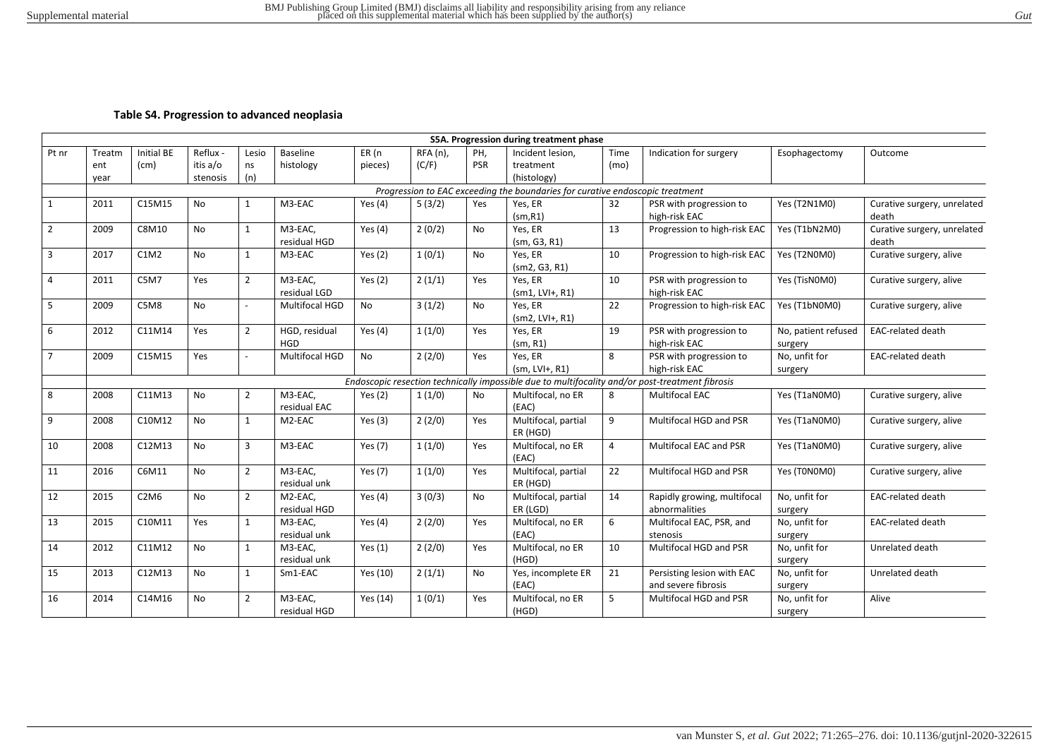#### **Table S4. Progression to advanced neoplasia**

|                |        |                               |           |                |                             |           |            |           | S5A. Progression during treatment phase                                       |                |                                                                                                 |                                |                                      |
|----------------|--------|-------------------------------|-----------|----------------|-----------------------------|-----------|------------|-----------|-------------------------------------------------------------------------------|----------------|-------------------------------------------------------------------------------------------------|--------------------------------|--------------------------------------|
| Pt nr          | Treatm | Initial BE                    | Reflux -  | Lesio          | <b>Baseline</b>             | ER (n     | $RFA(n)$ , | PH,       | Incident lesion.                                                              | Time           | Indication for surgery                                                                          | Esophagectomy                  | Outcome                              |
|                | ent    | (cm)                          | itis a/o  | ns             | histology                   | pieces)   | (C/F)      | PSR       | treatment                                                                     | (mo)           |                                                                                                 |                                |                                      |
|                | year   |                               | stenosis  | (n)            |                             |           |            |           | (histology)                                                                   |                |                                                                                                 |                                |                                      |
|                |        |                               |           |                |                             |           |            |           | Progression to EAC exceeding the boundaries for curative endoscopic treatment |                |                                                                                                 |                                |                                      |
| 1              | 2011   | C15M15                        | <b>No</b> | $\mathbf{1}$   | M3-EAC                      | Yes $(4)$ | 5(3/2)     | Yes       | Yes, ER                                                                       | 32             | PSR with progression to                                                                         | Yes (T2N1M0)                   | Curative surgery, unrelated          |
|                |        |                               |           |                |                             |           |            |           | (sm, R1)                                                                      |                | high-risk EAC                                                                                   |                                | death                                |
| $\overline{2}$ | 2009   | C8M10                         | <b>No</b> | $\mathbf{1}$   | M3-EAC,<br>residual HGD     | Yes $(4)$ | 2(0/2)     | No        | Yes, ER<br>(sm, G3, R1)                                                       | 13             | Progression to high-risk EAC                                                                    | Yes (T1bN2M0)                  | Curative surgery, unrelated<br>death |
| 3              | 2017   | C1M2                          | <b>No</b> | $\mathbf{1}$   | M3-EAC                      | Yes $(2)$ | 1(0/1)     | No        | Yes, ER<br>(sm2, G3, R1)                                                      | 10             | Progression to high-risk EAC                                                                    | Yes (T2N0M0)                   | Curative surgery, alive              |
| 4              | 2011   | C5M7                          | Yes       | $\overline{2}$ | M3-EAC.<br>residual LGD     | Yes $(2)$ | 2(1/1)     | Yes       | Yes, ER<br>$(sm1, LVH+, R1)$                                                  | 10             | PSR with progression to<br>high-risk EAC                                                        | Yes (TisNOMO)                  | Curative surgery, alive              |
| 5              | 2009   | C5M8                          | <b>No</b> | $\overline{a}$ | Multifocal HGD              | No        | 3(1/2)     | <b>No</b> | Yes, ER<br>$(sm2, LVH+, R1)$                                                  | 22             | Progression to high-risk EAC                                                                    | Yes (T1bN0M0)                  | Curative surgery, alive              |
| 6              | 2012   | C11M14                        | Yes       | $\overline{2}$ | HGD, residual<br><b>HGD</b> | Yes $(4)$ | 1(1/0)     | Yes       | Yes, ER<br>(sm, R1)                                                           | 19             | PSR with progression to<br>high-risk EAC                                                        | No, patient refused<br>surgery | <b>EAC-related death</b>             |
| $\overline{7}$ | 2009   | C15M15                        | Yes       |                | Multifocal HGD              | <b>No</b> | 2(2/0)     | Yes       | Yes, ER<br>$(sm, LVH+, R1)$                                                   | 8              | PSR with progression to<br>high-risk EAC                                                        | No, unfit for<br>surgery       | <b>EAC-related death</b>             |
|                |        |                               |           |                |                             |           |            |           |                                                                               |                | Endoscopic resection technically impossible due to multifocality and/or post-treatment fibrosis |                                |                                      |
| 8              | 2008   | C11M13                        | <b>No</b> | $\overline{2}$ | M3-EAC.<br>residual EAC     | Yes $(2)$ | 1(1/0)     | <b>No</b> | Multifocal, no ER<br>(EAC)                                                    | 8              | <b>Multifocal EAC</b>                                                                           | Yes (T1aN0M0)                  | Curative surgery, alive              |
| 9              | 2008   | C10M12                        | No        | $\mathbf{1}$   | M2-EAC                      | Yes $(3)$ | 2(2/0)     | Yes       | Multifocal, partial<br>ER (HGD)                                               | 9              | Multifocal HGD and PSR                                                                          | Yes (T1aN0M0)                  | Curative surgery, alive              |
| 10             | 2008   | C12M13                        | <b>No</b> | 3              | M3-EAC                      | Yes (7)   | 1(1/0)     | Yes       | Multifocal, no ER<br>(EAC)                                                    | $\overline{4}$ | Multifocal EAC and PSR                                                                          | Yes (T1aN0M0)                  | Curative surgery, alive              |
| 11             | 2016   | C6M11                         | <b>No</b> | $\overline{2}$ | M3-EAC,<br>residual unk     | Yes $(7)$ | 1(1/0)     | Yes       | Multifocal, partial<br>ER (HGD)                                               | 22             | Multifocal HGD and PSR                                                                          | Yes (T0N0M0)                   | Curative surgery, alive              |
| 12             | 2015   | C <sub>2</sub> M <sub>6</sub> | <b>No</b> | $\overline{2}$ | M2-EAC,<br>residual HGD     | Yes $(4)$ | 3(0/3)     | <b>No</b> | Multifocal, partial<br>ER (LGD)                                               | 14             | Rapidly growing, multifocal<br>abnormalities                                                    | No, unfit for<br>surgery       | <b>EAC-related death</b>             |
| 13             | 2015   | C10M11                        | Yes       | $\mathbf{1}$   | M3-EAC,<br>residual unk     | Yes $(4)$ | 2(2/0)     | Yes       | Multifocal, no ER<br>(EAC)                                                    | 6              | Multifocal EAC, PSR, and<br>stenosis                                                            | No, unfit for<br>surgery       | <b>EAC-related death</b>             |
| 14             | 2012   | C11M12                        | No        | $\mathbf{1}$   | M3-EAC,<br>residual unk     | Yes $(1)$ | 2(2/0)     | Yes       | Multifocal, no ER<br>(HGD)                                                    | 10             | Multifocal HGD and PSR                                                                          | No, unfit for<br>surgery       | Unrelated death                      |
| 15             | 2013   | C12M13                        | <b>No</b> | $\mathbf{1}$   | Sm1-EAC                     | Yes (10)  | 2(1/1)     | <b>No</b> | Yes, incomplete ER<br>(EAC)                                                   | 21             | Persisting lesion with EAC<br>and severe fibrosis                                               | No, unfit for<br>surgery       | Unrelated death                      |
| 16             | 2014   | C14M16                        | <b>No</b> | $\overline{2}$ | M3-EAC,<br>residual HGD     | Yes (14)  | 1(0/1)     | Yes       | Multifocal, no ER<br>(HGD)                                                    | 5              | Multifocal HGD and PSR                                                                          | No, unfit for<br>surgery       | Alive                                |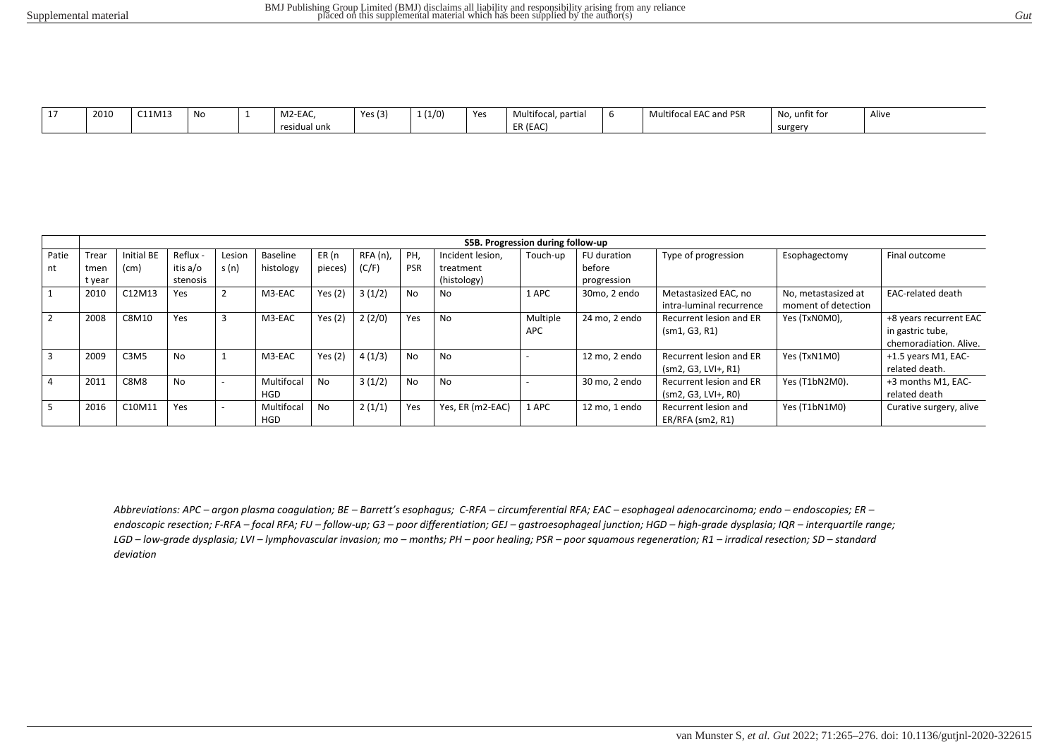| $\overline{\phantom{a}}$ | 2010 | C11M13 | No | M2-EAC,           | Yes $(3)$ | 1(1/0) | Yes | partial<br>Multifocal | $\ddot{\phantom{1}}$<br>I EAC and PSR<br>'Itifoca<br><b>IVIU</b> | No, unfit for | Alive |
|--------------------------|------|--------|----|-------------------|-----------|--------|-----|-----------------------|------------------------------------------------------------------|---------------|-------|
|                          |      |        |    | .<br>residual unk |           |        |     | ER (EAC)              |                                                                  | surgery       |       |

|                         |        |                               |                |        |                          |           |            |            |                  | S5B. Progression during follow-up |               |                                                  |                                            |                                                                      |
|-------------------------|--------|-------------------------------|----------------|--------|--------------------------|-----------|------------|------------|------------------|-----------------------------------|---------------|--------------------------------------------------|--------------------------------------------|----------------------------------------------------------------------|
| Patie                   | Trear  | Initial BE                    | Reflux -       | Lesion | Baseline                 | ER (n     | $RFA(n)$ , | PH.        | Incident lesion, | Touch-up                          | FU duration   | Type of progression                              | Esophagectomy                              | Final outcome                                                        |
| nt                      | tmer   | (cm)                          | itis a/o       | s(n)   | histology                | pieces)   | (C/F)      | <b>PSR</b> | treatment        |                                   | before        |                                                  |                                            |                                                                      |
|                         | t year |                               | stenosis       |        |                          |           |            |            | (histology)      |                                   | progression   |                                                  |                                            |                                                                      |
|                         | 2010   | C12M13                        | Yes            |        | M3-EAC                   | Yes $(2)$ | 3(1/2)     | <b>No</b>  | No.              | 1 APC                             | 30mo, 2 endo  | Metastasized EAC, no<br>intra-luminal recurrence | No, metastasized at<br>moment of detection | <b>EAC-related death</b>                                             |
| $\overline{2}$          | 2008   | C8M10                         | Yes            |        | M3-EAC                   | Yes $(2)$ | 2(2/0)     | Yes        | No               | Multiple<br>APC                   | 24 mo, 2 endo | Recurrent lesion and ER<br>(sm1, G3, R1)         | Yes (TxN0M0),                              | +8 years recurrent EAC<br>in gastric tube,<br>chemoradiation. Alive. |
| $\overline{\mathbf{3}}$ | 2009   | C <sub>3</sub> M <sub>5</sub> | N <sub>o</sub> |        | M3-EAC                   | Yes $(2)$ | 4(1/3)     | <b>No</b>  | No               |                                   | 12 mo. 2 endo | Recurrent lesion and ER<br>$(sm2, G3, LVH+, R1)$ | Yes (TxN1M0)                               | +1.5 years M1, EAC-<br>related death.                                |
| $\overline{4}$          | 2011   | C8M8                          | No             |        | Multifocal<br><b>HGD</b> | <b>No</b> | 3(1/2)     | <b>No</b>  | No               |                                   | 30 mo, 2 endo | Recurrent lesion and ER<br>$(sm2, G3, LVI+, R0)$ | Yes (T1bN2M0).                             | +3 months M1, EAC-<br>related death                                  |
| - 5                     | 2016   | C10M11                        | Yes            |        | Multifocal<br><b>HGD</b> | <b>No</b> | 2(1/1)     | Yes        | Yes, ER (m2-EAC) | 1 APC                             | 12 mo, 1 endo | Recurrent lesion and<br>ER/RFA (sm2, R1)         | Yes (T1bN1M0)                              | Curative surgery, alive                                              |

Abbreviations: APC - argon plasma coagulation; BE - Barrett's esophagus; C-RFA - circumferential RFA; EAC - esophageal adenocarcinoma; endo - endoscopies; ER endoscopic resection; F-RFA - focal RFA; FU - follow-up; G3 - poor differentiation; GEJ - gastroesophageal junction; HGD - high-grade dysplasia; IQR - interquartile range; LGD - low-grade dysplasia; LVI - lymphovascular invasion; mo - months; PH - poor healing; PSR - poor squamous regeneration; R1 - irradical resection; SD - standard *deviation*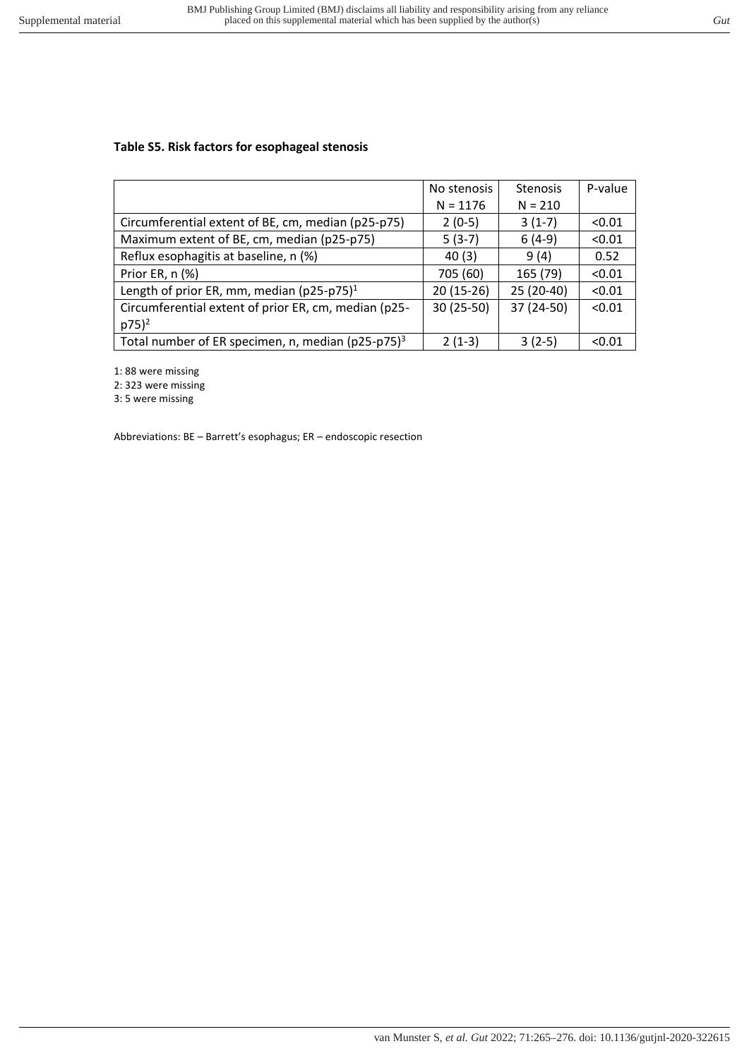## **Table S5. Risk factors for esophageal stenosis**

|                                                                   | No stenosis | <b>Stenosis</b> | P-value |
|-------------------------------------------------------------------|-------------|-----------------|---------|
|                                                                   | $N = 1176$  | $N = 210$       |         |
| Circumferential extent of BE, cm, median (p25-p75)                | $2(0-5)$    | $3(1-7)$        | < 0.01  |
| Maximum extent of BE, cm, median (p25-p75)                        | $5(3-7)$    | $6(4-9)$        | < 0.01  |
| Reflux esophagitis at baseline, n (%)                             | 40(3)       | 9(4)            | 0.52    |
| Prior ER, n (%)                                                   | 705 (60)    | 165 (79)        | < 0.01  |
| Length of prior ER, mm, median (p25-p75) <sup>1</sup>             | $20(15-26)$ | 25 (20-40)      | < 0.01  |
| Circumferential extent of prior ER, cm, median (p25-              | 30 (25-50)  | 37 (24-50)      | < 0.01  |
| $p75)^2$                                                          |             |                 |         |
| Total number of ER specimen, n, median ( $p25-p75$ ) <sup>3</sup> | $2(1-3)$    | $3(2-5)$        | < 0.01  |

1: 88 were missing

2: 323 were missing

3: 5 were missing

Abbreviations: BE – Barrett's esophagus; ER – endoscopic resection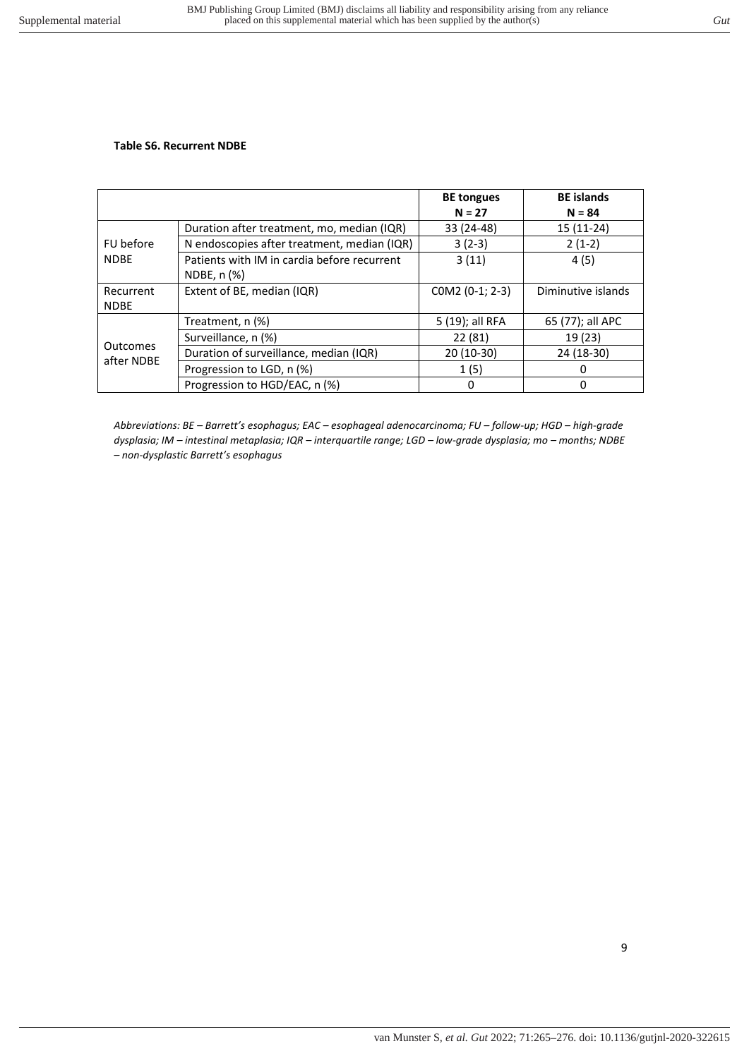#### **Table S6. Recurrent NDBE**

|                 |                                             | <b>BE</b> tongues<br>$N = 27$ | <b>BE</b> islands<br>$N = 84$ |
|-----------------|---------------------------------------------|-------------------------------|-------------------------------|
|                 | Duration after treatment, mo, median (IQR)  | 33 (24-48)                    | $15(11-24)$                   |
| FU before       | N endoscopies after treatment, median (IQR) | $3(2-3)$                      | $2(1-2)$                      |
| <b>NDBE</b>     | Patients with IM in cardia before recurrent | 3(11)                         | 4(5)                          |
|                 | NDBE, n (%)                                 |                               |                               |
| Recurrent       | Extent of BE, median (IQR)                  | COM2 (0-1; 2-3)               | Diminutive islands            |
| <b>NDBE</b>     |                                             |                               |                               |
|                 | Treatment, n (%)                            | 5 (19); all RFA               | 65 (77); all APC              |
|                 | Surveillance, n (%)                         | 22 (81)                       | 19 (23)                       |
| <b>Outcomes</b> | Duration of surveillance, median (IQR)      | $20(10-30)$                   | 24 (18-30)                    |
| after NDBE      | Progression to LGD, n (%)                   | 1(5)                          | 0                             |
|                 | Progression to HGD/EAC, n (%)               | 0                             | 0                             |

*Abbreviations: BE – Barrett's esophagus; EAC – esophageal adenocarcinoma; FU – follow-up; HGD – high-grade dysplasia; IM – intestinal metaplasia; IQR – interquartile range; LGD – low-grade dysplasia; mo – months; NDBE – non-dysplastic Barrett's esophagus*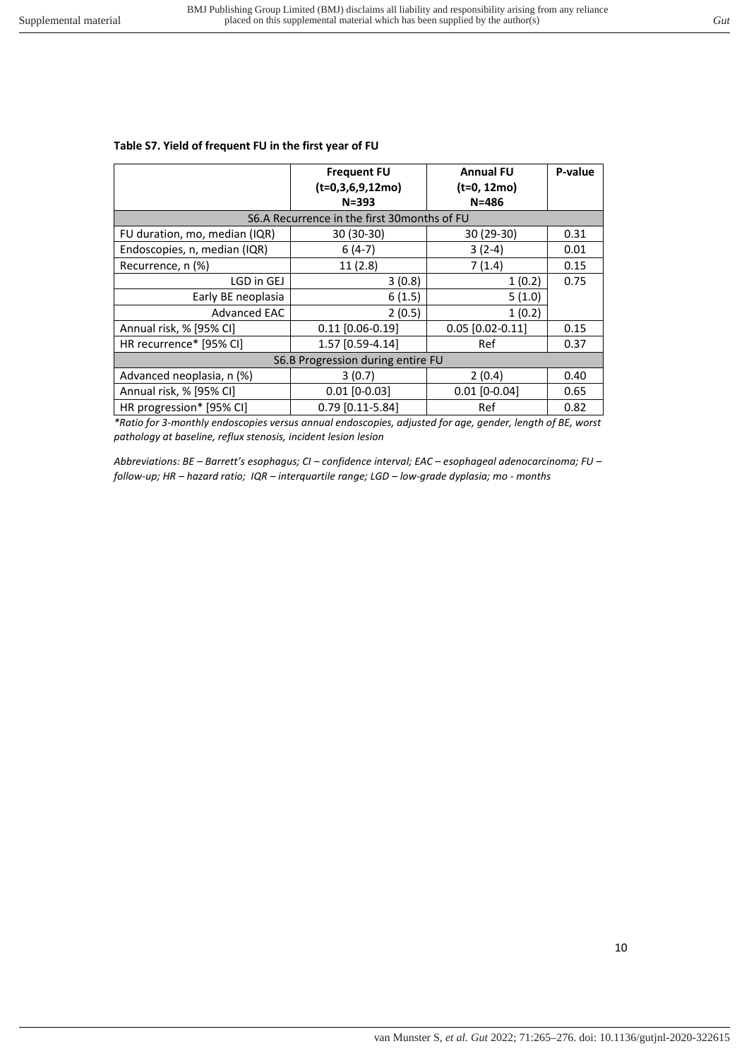## **Table S7. Yield of frequent FU in the first year of FU**

|                                              | <b>Frequent FU</b><br>$(t=0,3,6,9,12mo)$<br>$N = 393$ | <b>Annual FU</b><br>(t=0, 12mo)<br>$N = 486$ | P-value |  |  |  |  |
|----------------------------------------------|-------------------------------------------------------|----------------------------------------------|---------|--|--|--|--|
| S6.A Recurrence in the first 30 months of FU |                                                       |                                              |         |  |  |  |  |
| FU duration, mo, median (IQR)                | 30 (30-30)                                            | 30 (29-30)                                   | 0.31    |  |  |  |  |
| Endoscopies, n, median (IQR)                 | $6(4-7)$                                              | $3(2-4)$                                     | 0.01    |  |  |  |  |
| Recurrence, n (%)                            | 11(2.8)                                               | 7(1.4)                                       | 0.15    |  |  |  |  |
| LGD in GEJ                                   | 3(0.8)                                                | 1(0.2)                                       | 0.75    |  |  |  |  |
| Early BE neoplasia                           | 6(1.5)                                                | 5(1.0)                                       |         |  |  |  |  |
| <b>Advanced EAC</b>                          | 2(0.5)                                                | 1(0.2)                                       |         |  |  |  |  |
| Annual risk, % [95% CI]                      | $0.11$ [0.06-0.19]                                    | $0.05$ [0.02-0.11]                           | 0.15    |  |  |  |  |
| HR recurrence* [95% CI]                      | 1.57 [0.59-4.14]                                      | Ref                                          | 0.37    |  |  |  |  |
|                                              | S6.B Progression during entire FU                     |                                              |         |  |  |  |  |
| Advanced neoplasia, n (%)                    | 3(0.7)                                                | 2(0.4)                                       | 0.40    |  |  |  |  |
| Annual risk, % [95% CI]                      | $0.01$ [0-0.03]                                       | $0.01$ [0-0.04]                              | 0.65    |  |  |  |  |
| HR progression* [95% CI]                     | 0.79 [0.11-5.84]                                      | Ref                                          | 0.82    |  |  |  |  |

*\*Ratio for 3-monthly endoscopies versus annual endoscopies, adjusted for age, gender, length of BE, worst pathology at baseline, reflux stenosis, incident lesion lesion* 

*Abbreviations: BE – Barrett's esophagus; CI – confidence interval; EAC – esophageal adenocarcinoma; FU – follow-up; HR – hazard ratio; IQR – interquartile range; LGD – low-grade dyplasia; mo - months*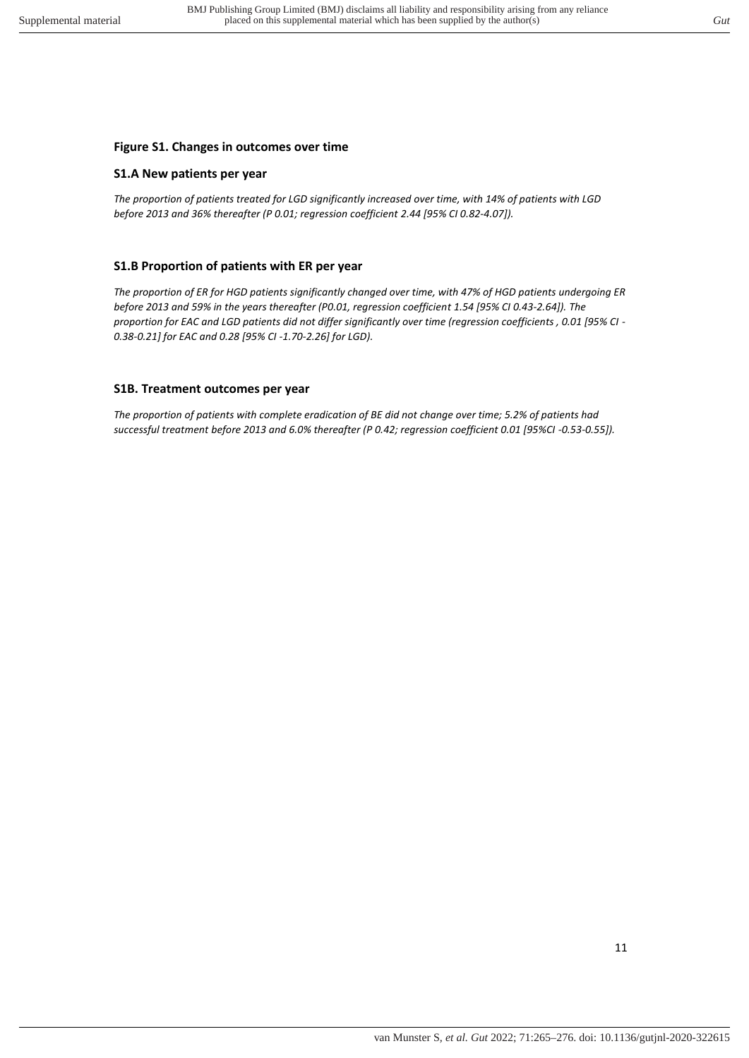## **Figure S1. Changes in outcomes over time**

#### **S1.A New patients per year**

*The proportion of patients treated for LGD significantly increased over time, with 14% of patients with LGD before 2013 and 36% thereafter (P 0.01; regression coefficient 2.44 [95% CI 0.82-4.07]).* 

## **S1.B Proportion of patients with ER per year**

*The proportion of ER for HGD patients significantly changed over time, with 47% of HGD patients undergoing ER before 2013 and 59% in the years thereafter (P0.01, regression coefficient 1.54 [95% CI 0.43-2.64]). The proportion for EAC and LGD patients did not differ significantly over time (regression coefficients , 0.01 [95% CI - 0.38-0.21] for EAC and 0.28 [95% CI -1.70-2.26] for LGD).* 

## **S1B. Treatment outcomes per year**

*The proportion of patients with complete eradication of BE did not change over time; 5.2% of patients had successful treatment before 2013 and 6.0% thereafter (P 0.42; regression coefficient 0.01 [95%CI -0.53-0.55]).*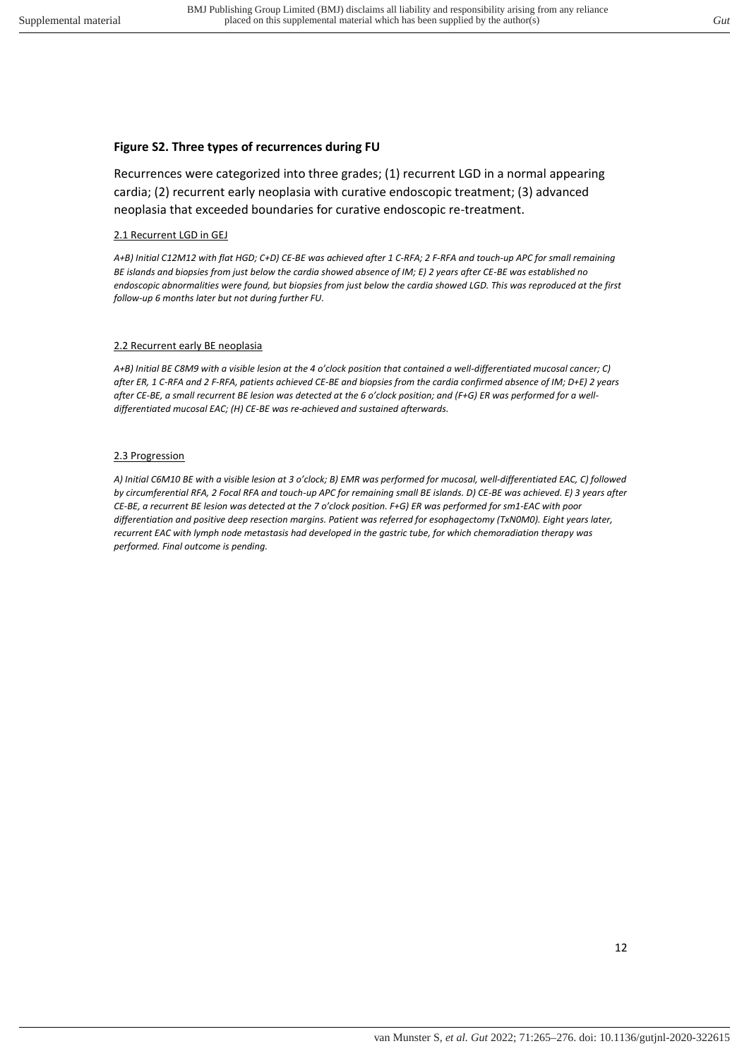#### **Figure S2. Three types of recurrences during FU**

Recurrences were categorized into three grades; (1) recurrent LGD in a normal appearing cardia; (2) recurrent early neoplasia with curative endoscopic treatment; (3) advanced neoplasia that exceeded boundaries for curative endoscopic re-treatment.

#### 2.1 Recurrent LGD in GEJ

*A+B) Initial C12M12 with flat HGD; C+D) CE-BE was achieved after 1 C-RFA; 2 F-RFA and touch-up APC for small remaining BE islands and biopsies from just below the cardia showed absence of IM; E) 2 years after CE-BE was established no endoscopic abnormalities were found, but biopsies from just below the cardia showed LGD. This was reproduced at the first follow-up 6 months later but not during further FU.* 

#### 2.2 Recurrent early BE neoplasia

*A+B) Initial BE C8M9 with a visible lesion at the 4 o'clock position that contained a well-differentiated mucosal cancer; C) after ER, 1 C-RFA and 2 F-RFA, patients achieved CE-BE and biopsies from the cardia confirmed absence of IM; D+E) 2 years after CE-BE, a small recurrent BE lesion was detected at the 6 o'clock position; and (F+G) ER was performed for a welldifferentiated mucosal EAC; (H) CE-BE was re-achieved and sustained afterwards.* 

#### 2.3 Progression

A) Initial C6M10 BE with a visible lesion at 3 o'clock; B) EMR was performed for mucosal, well-differentiated EAC, C) followed *by circumferential RFA, 2 Focal RFA and touch-up APC for remaining small BE islands. D) CE-BE was achieved. E) 3 years after CE-BE, a recurrent BE lesion was detected at the 7 o'clock position. F+G) ER was performed for sm1-EAC with poor differentiation and positive deep resection margins. Patient was referred for esophagectomy (TxN0M0). Eight years later, recurrent EAC with lymph node metastasis had developed in the gastric tube, for which chemoradiation therapy was performed. Final outcome is pending.*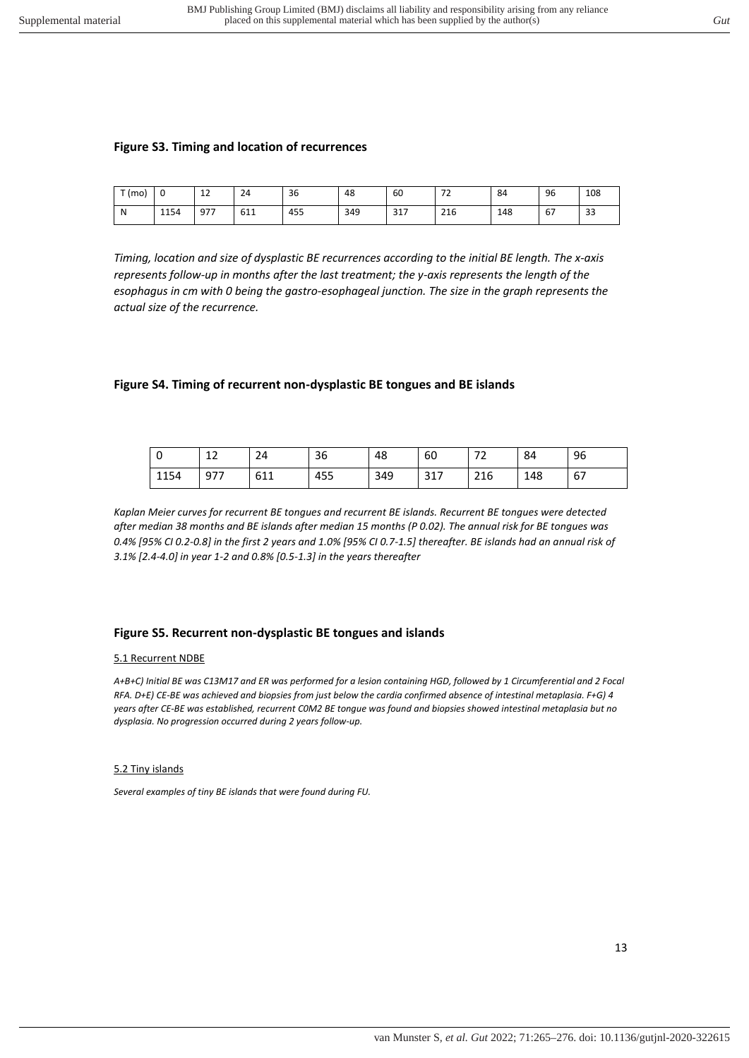#### **Figure S3. Timing and location of recurrences**

| $-1$<br>(mo) | U    | $\sim$<br>ᅩ | $\sim$<br>24 | 36  | 48  | 60  | $\overline{\phantom{a}}$<br>- | 84  | 96 | 108                |
|--------------|------|-------------|--------------|-----|-----|-----|-------------------------------|-----|----|--------------------|
| N            | 1154 | 977         | 611          | 455 | 349 | 317 | 216                           | 148 | 67 | $\mathbf{a}$<br>33 |

*Timing, location and size of dysplastic BE recurrences according to the initial BE length. The x-axis represents follow-up in months after the last treatment; the y-axis represents the length of the esophagus in cm with 0 being the gastro-esophageal junction. The size in the graph represents the actual size of the recurrence.* 

#### **Figure S4. Timing of recurrent non-dysplastic BE tongues and BE islands**

| -0   | $\sim$<br>ᅩᄼ | 24  | 36  | 48  | 60  | --<br>ے ، | 84  | 96 |
|------|--------------|-----|-----|-----|-----|-----------|-----|----|
| 1154 | 977          | 611 | 455 | 349 | 317 | 216       | 148 | 67 |

*Kaplan Meier curves for recurrent BE tongues and recurrent BE islands. Recurrent BE tongues were detected after median 38 months and BE islands after median 15 months (P 0.02). The annual risk for BE tongues was 0.4% [95% CI 0.2-0.8] in the first 2 years and 1.0% [95% CI 0.7-1.5] thereafter. BE islands had an annual risk of 3.1% [2.4-4.0] in year 1-2 and 0.8% [0.5-1.3] in the years thereafter* 

#### **Figure S5. Recurrent non-dysplastic BE tongues and islands**

#### 5.1 Recurrent NDBE

*A+B+C) Initial BE was C13M17 and ER was performed for a lesion containing HGD, followed by 1 Circumferential and 2 Focal RFA. D+E) CE-BE was achieved and biopsies from just below the cardia confirmed absence of intestinal metaplasia. F+G) 4 years after CE-BE was established, recurrent C0M2 BE tongue was found and biopsies showed intestinal metaplasia but no dysplasia. No progression occurred during 2 years follow-up.*

#### 5.2 Tiny islands

*Several examples of tiny BE islands that were found during FU.*